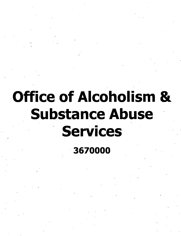# **Office of Alcoholism & Substance Abuse Services**

3670000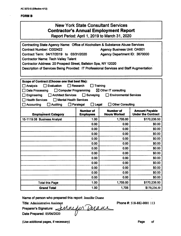| <b>New York State Consultant Services</b>    |  |  |
|----------------------------------------------|--|--|
| <b>Contractor's Annual Employment Report</b> |  |  |

Report Period: April 1, 2019 to March 31, 2020

| Contracting State Agency Name: Office of Alcoholism & Substance Abuse Services<br><b>Contract Number: C002422</b><br><b>Agency Business Unit: OAS01</b><br>Contract Term: 04/17/2019 to 03/31/2020<br>Agency Department ID: 3670000<br><b>Contractor Name: Tech Valley Talent</b><br>Contractor Address: 20 Prospect Street, Ballston Spa, NY 12020<br>Description of Services Being Provided: IT Professional Services and Staff Augmentation |                                      |                                         |                                                    |
|------------------------------------------------------------------------------------------------------------------------------------------------------------------------------------------------------------------------------------------------------------------------------------------------------------------------------------------------------------------------------------------------------------------------------------------------|--------------------------------------|-----------------------------------------|----------------------------------------------------|
| Scope of Contract (Choose one that best fits):                                                                                                                                                                                                                                                                                                                                                                                                 |                                      |                                         |                                                    |
| Evaluation<br>$\Box$ Analysis                                                                                                                                                                                                                                                                                                                                                                                                                  | Research                             | Training                                |                                                    |
| <b>Data Processing</b><br>□ Computer Programming                                                                                                                                                                                                                                                                                                                                                                                               |                                      | $\boxtimes$ Other IT consulting         |                                                    |
| <b>Architect Services</b><br>Engineering                                                                                                                                                                                                                                                                                                                                                                                                       | $\Box$ Surveying                     | <b>Environmental Services</b>           |                                                    |
| <b>Health Services</b><br>□ Mental Health Services                                                                                                                                                                                                                                                                                                                                                                                             |                                      |                                         |                                                    |
| <b>Accounting</b><br><b>Auditing</b>                                                                                                                                                                                                                                                                                                                                                                                                           | Paralegal<br>Legal                   | <b>Other Consulting</b>                 |                                                    |
| <b>Employment Category</b>                                                                                                                                                                                                                                                                                                                                                                                                                     | <b>Number of</b><br><b>Employees</b> | <b>Number of</b><br><b>Hours Worked</b> | <b>Amount Payable</b><br><b>Under the Contract</b> |
| 15-1119.08 Business Analyst                                                                                                                                                                                                                                                                                                                                                                                                                    | 1.00                                 | 1,705.00                                | \$170,236.50                                       |
|                                                                                                                                                                                                                                                                                                                                                                                                                                                | 0.00                                 | 0.00                                    | \$0.00                                             |
|                                                                                                                                                                                                                                                                                                                                                                                                                                                | 0.00                                 | 0.00                                    | \$0.00                                             |
|                                                                                                                                                                                                                                                                                                                                                                                                                                                | 0.00                                 | 0.00                                    | \$0.00                                             |
|                                                                                                                                                                                                                                                                                                                                                                                                                                                | 0.00                                 | 0.00                                    | \$0.00                                             |
|                                                                                                                                                                                                                                                                                                                                                                                                                                                | 0.00                                 | 0.00                                    | \$0.00                                             |
|                                                                                                                                                                                                                                                                                                                                                                                                                                                | 0.00                                 | 0.00                                    | \$0.00                                             |
|                                                                                                                                                                                                                                                                                                                                                                                                                                                | 0.00                                 | 0.00                                    | \$0.00                                             |
|                                                                                                                                                                                                                                                                                                                                                                                                                                                | 0.00                                 | 0.00                                    | \$0.00                                             |
|                                                                                                                                                                                                                                                                                                                                                                                                                                                | 0.00                                 | 0.00                                    | \$0.00                                             |
|                                                                                                                                                                                                                                                                                                                                                                                                                                                | 0.00                                 | 0.00                                    | \$0.00                                             |
|                                                                                                                                                                                                                                                                                                                                                                                                                                                | 0.00                                 | 0.00                                    | \$0.00                                             |
|                                                                                                                                                                                                                                                                                                                                                                                                                                                | 0.00                                 | 0.00                                    | \$0.00                                             |
| <b>Total this Page</b>                                                                                                                                                                                                                                                                                                                                                                                                                         | 1.00                                 | 1,705.00                                | \$170,236.50                                       |
| <b>Grand Total</b>                                                                                                                                                                                                                                                                                                                                                                                                                             | 1.00                                 | 1,705                                   | \$170,236.50                                       |

**Name of person who prepared** this **report:** Jennifer Duane

**Title: Administrative Assistant**<br>Preparer's Signature: /// **Preparer's Signature: Date Prepared:** OS/06/2020 Phone #: 518-882-0001 113

(Use additional pages, if necessary) example of the control of the Page of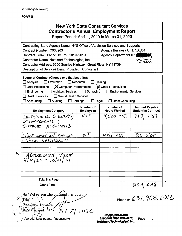$\boldsymbol{\star}$ 

#### **New York State Consultant Services Contractor's Annual Employment Report** Report Period: April 1, 2019 to March 31, 2020 Contracting State Agency Name: NYS Office of Addiction Services and Supports Contract Number: C003903 **Agency Business Unit: OAS01** Contract Term: 11/1/2013 to 10/31/2019 Agency Department ID: Contractor Name: Netsmart Technologies, Inc. 3670000 Contractor Address: 3500 Sunrise Highway, Great River, NY 11739 Description of Services Being Provided: Consultant Scope of Contract (Choose one that best fits):  $\Box$  Analysis  $\Box$  Evaluation  $\Box$  Research  $\Box$  Training Computer Programming Other IT consulting Data Processing Architect Services  $\Box$  Surveying  $\Box$  Engineering  $\Box$  Environmental Services  $\Box$  Health Services  $\Box$  Mental Health Services  $\Box$  Accounting  $\Box$  Auditing  $\Box$  Paralegal  $\Box$  Legal  $\Box$  Other Consulting Number of Number of **Amount Payable Employees Hours Worked Under the Contract Employment Category**  $40 +$  $4.500$  est. スマ SOFTWARE LICENSELS  $\mathbf{b}$ MaINTENANCE ASSOCIATES Support  $5^{+}$ *LNFORMATION SYSTIMS* 450 est 500 TEAM LEADERSHIP AGREEMENT そにM  $4/20/20 - 10/31$ **Total this Page** <u>853 238</u> **Grand Total**

Name of person who prepared this report: Title: Preparer's Signature: Date\*i i repared: 2020 (Use additional pages, if necessary)

Phone #: 631.968.2012

Joseph McGovern **Executive Vice President** Page of Netsmart Technologies, Inc.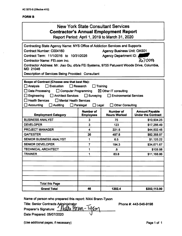| New York State Consultant Services<br><b>Contractor's Annual Employment Report</b><br>Report Period: April 1, 2019 to March 31, 2020                                                                                                                                                                                                                                                                                                |                                      |                                         |                                                    |
|-------------------------------------------------------------------------------------------------------------------------------------------------------------------------------------------------------------------------------------------------------------------------------------------------------------------------------------------------------------------------------------------------------------------------------------|--------------------------------------|-----------------------------------------|----------------------------------------------------|
| Contracting State Agency Name: NYS Office of Addiction Services and Supports                                                                                                                                                                                                                                                                                                                                                        |                                      |                                         |                                                    |
| Contract Number: C004160                                                                                                                                                                                                                                                                                                                                                                                                            |                                      | <b>Agency Business Unit: OAS01</b>      |                                                    |
| Contract Term: 11/1/2016 to 10/31/2026                                                                                                                                                                                                                                                                                                                                                                                              |                                      | Agency Department ID:                   |                                                    |
| Contractor Name: FEi.com Inc.                                                                                                                                                                                                                                                                                                                                                                                                       |                                      |                                         | 3670000                                            |
| Contractor Address: Mr. Jiao Gu, d/b/a FEi Systems, 9755 Patuxent Woods Drive, Columbia,<br><b>MD 21046</b>                                                                                                                                                                                                                                                                                                                         |                                      |                                         |                                                    |
| Description of Services Being Provided: Consultant                                                                                                                                                                                                                                                                                                                                                                                  |                                      |                                         |                                                    |
| Scope of Contract (Choose one that best fits):<br>$\Box$ Evaluation<br>$\Box$ Analysis<br>$\Box$ Research<br>Training<br>Data Processing<br>Computer Programming<br>$\boxtimes$ Other IT consulting<br>Architect Services<br>$\Box$ Surveying<br><b>Engineering</b><br><b>Environmental Services</b><br>Health Services<br>Mental Health Services<br>Accounting<br>Auditing<br>$\Box$ Legal<br><b>Other Consulting</b><br>Paralegal |                                      |                                         |                                                    |
| <b>Employment Category</b>                                                                                                                                                                                                                                                                                                                                                                                                          | <b>Number of</b><br><b>Employees</b> | <b>Number of</b><br><b>Hours Worked</b> | <b>Amount Payable</b><br><b>Under the Contract</b> |
| <b>BUSINESS ANALYST</b>                                                                                                                                                                                                                                                                                                                                                                                                             | 3                                    | 75                                      | \$10,904.25                                        |
| <b>DEVELOPER</b>                                                                                                                                                                                                                                                                                                                                                                                                                    | 3                                    | 123                                     | \$17,266.49                                        |
| <b>PROJECT MANAGER</b>                                                                                                                                                                                                                                                                                                                                                                                                              | 4                                    | 221.5                                   | \$44,502.45                                        |
| <b>QATESTER</b>                                                                                                                                                                                                                                                                                                                                                                                                                     | 26                                   | 497.8                                   | \$82,368.97                                        |
| <b>SENIOR BUSINESS ANALYST</b>                                                                                                                                                                                                                                                                                                                                                                                                      | 1                                    | 6.5                                     | \$1,125.22                                         |
| <b>SENIOR DEVELOPER</b>                                                                                                                                                                                                                                                                                                                                                                                                             | 7                                    | 194.3                                   | \$34,671.67                                        |
| <b>TECHNICAL ARCHITECT</b>                                                                                                                                                                                                                                                                                                                                                                                                          | 1                                    | $.5\phantom{0}$                         | \$105.98                                           |
| TRAINER                                                                                                                                                                                                                                                                                                                                                                                                                             | 1                                    | 83.8                                    | \$11,168.86                                        |
|                                                                                                                                                                                                                                                                                                                                                                                                                                     |                                      |                                         |                                                    |
| <b>Total this Page</b><br><b>Grand Total</b>                                                                                                                                                                                                                                                                                                                                                                                        | 46                                   | 1202.4                                  | \$202,113.90                                       |

**Name of person who prepared this report: Nikki Brann-Tyson**

**Title: Senior Contracts Administrator Preparer's Signature: fmature Date Prepared: 05/07/2020 0**

**Phone #: 443-546-9198**

**(Use additional pages, if necessary) Page <sup>1</sup> of <sup>1</sup>**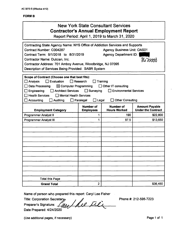| <b>New York State Consultant Services</b><br><b>Contractor's Annual Employment Report</b><br>Report Period: April 1, 2019 to March 31, 2020                                                                                                                                                                                                                                                                                           |                                                                                                                                       |     |          |  |
|---------------------------------------------------------------------------------------------------------------------------------------------------------------------------------------------------------------------------------------------------------------------------------------------------------------------------------------------------------------------------------------------------------------------------------------|---------------------------------------------------------------------------------------------------------------------------------------|-----|----------|--|
| Contracting State Agency Name: NYS Office of Addiction Services and Supports<br><b>Agency Business Unit: OAS01</b><br>Contract Number: C004287<br>Contract Term: 9/1/2018 to 8/31/2019<br><b>Agency Department ID:</b><br>$36$ zoord<br>Contractor Name: Dulcian, Inc.<br>Contractor Address: 701 Amboy Avenue, Woodbridge, NJ 07095<br>Description of Services Being Provided: SABR System                                           |                                                                                                                                       |     |          |  |
| Scope of Contract (Choose one that best fits):<br>$\Box$ Evaluation<br>$\Box$ Research<br>Training<br>Analysis<br>$\boxtimes$ Computer Programming<br>Data Processing<br>$\Box$ Other IT consulting<br>Engineering<br>Architect Services Surveying<br><b>Environmental Services</b><br><b>Health Services</b><br>□ Mental Health Services<br>Accounting<br>Auditing<br>$\Box$ Paralegal<br>$\square$ Legal<br><b>Other Consulting</b> |                                                                                                                                       |     |          |  |
| <b>Employment Category</b>                                                                                                                                                                                                                                                                                                                                                                                                            | <b>Number of</b><br><b>Number of</b><br><b>Amount Payable</b><br><b>Under the Contract</b><br><b>Hours Worked</b><br><b>Employees</b> |     |          |  |
| <b>Programmer Analyst II</b>                                                                                                                                                                                                                                                                                                                                                                                                          | 1                                                                                                                                     | 190 | \$22,800 |  |
| <b>Programmer Analyst III</b>                                                                                                                                                                                                                                                                                                                                                                                                         | 1<br>97.5<br>\$13,650                                                                                                                 |     |          |  |
| <b>Total this Page</b>                                                                                                                                                                                                                                                                                                                                                                                                                |                                                                                                                                       |     |          |  |
| <b>Grand Total</b>                                                                                                                                                                                                                                                                                                                                                                                                                    | $\overline{2}$                                                                                                                        |     | \$36,450 |  |
|                                                                                                                                                                                                                                                                                                                                                                                                                                       |                                                                                                                                       |     |          |  |

**Name of person who prepared this report: Caryl Lee Fisher**

**Title: Corporation Secreta^** */ ^*

**Preparer's Signature:**

**Date Prepared: 4/24/2020**

**Phone #: 212-595-7223**

**(Use additional pages, if necessary) Page <sup>1</sup> of <sup>1</sup>**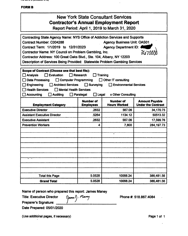$\mathbf{v} \cdot \mathbf{v}$ 

## **FORMB**

| <b>New York State Consultant Services</b><br><b>Contractor's Annual Employment Report</b><br>Report Period: April 1, 2019 to March 31, 2020                                                                                                                                                                                                                                                                                                      |                               |                                         |                                                    |
|--------------------------------------------------------------------------------------------------------------------------------------------------------------------------------------------------------------------------------------------------------------------------------------------------------------------------------------------------------------------------------------------------------------------------------------------------|-------------------------------|-----------------------------------------|----------------------------------------------------|
| Contracting State Agency Name: NYS Office of Addiction Services and Supports<br><b>Agency Business Unit: OAS01</b><br>Contract Number: C004288<br>Contract Term: 1/1/2019 to 12/31/2023<br><b>Agency Department ID:</b><br>Contractor Name: NY Council on Problem Gambling, Inc.<br>36700<br>Contractor Address: 100 Great Oaks Blvd., Ste. 104, Albany, NY 12203<br>Description of Services Being Provided: Statewide Problem Gambling Services |                               |                                         |                                                    |
| Scope of Contract (Choose one that best fits):<br><b>T</b> Evaluation<br>Research<br><b>Training</b><br><b>Analysis</b><br>Data Processing<br>Computer Programming<br><b>Other IT consulting</b><br>Architect Services <b>Surveying</b><br><b>Environmental Services</b><br>Engineering<br><b>Health Services</b><br>Mental Health Services<br><b>Accounting</b><br><b>Auditing</b><br>$\Box$ Paralegal<br>$\Box$ Legal<br>x Other Consulting    |                               |                                         |                                                    |
|                                                                                                                                                                                                                                                                                                                                                                                                                                                  |                               |                                         |                                                    |
| <b>Employment Category</b>                                                                                                                                                                                                                                                                                                                                                                                                                       | Number of<br><b>Employees</b> | <b>Number of</b><br><b>Hours Worked</b> | <b>Amount Payable</b><br><b>Under the Contract</b> |
| <b>Executive Director</b>                                                                                                                                                                                                                                                                                                                                                                                                                        | .2632                         | 567.06                                  | 34,170.75                                          |
| <b>Assistant Executive Director</b>                                                                                                                                                                                                                                                                                                                                                                                                              | .5264                         | 1134.12                                 | 50513.32                                           |
| <b>Executive Assistant</b>                                                                                                                                                                                                                                                                                                                                                                                                                       | .2632                         | 567.06                                  | 17,599.76                                          |
| <b>Prevention Workers</b>                                                                                                                                                                                                                                                                                                                                                                                                                        | 4                             | 7,800                                   | 284, 197.73                                        |
|                                                                                                                                                                                                                                                                                                                                                                                                                                                  |                               |                                         |                                                    |
|                                                                                                                                                                                                                                                                                                                                                                                                                                                  |                               |                                         |                                                    |
|                                                                                                                                                                                                                                                                                                                                                                                                                                                  |                               |                                         |                                                    |
| <b>Total this Page</b>                                                                                                                                                                                                                                                                                                                                                                                                                           | 5.0528                        | 10068.24                                | 386,481.56                                         |

 $\ddot{\phantom{a}}$ 

**Name of person who prepared this report: James Maney**

**Title: Executive Director**

(James!). Many **Preparer's Signature:** \_\_\_

**Date Prepared: 05/01/2020**

**(Use additional pages, if necessary) Page <sup>1</sup> of <sup>1</sup>**

**Phone #: 518.867.4084**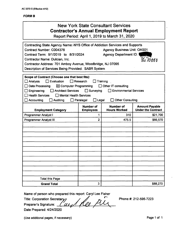|                                                                                                                                                                                                                                                                                                                                                                                                                                                    |                                     | <b>New York State Consultant Services</b><br><b>Contractor's Annual Employment Report</b><br>Report Period: April 1, 2019 to March 31, 2020 |                                                    |  |  |
|----------------------------------------------------------------------------------------------------------------------------------------------------------------------------------------------------------------------------------------------------------------------------------------------------------------------------------------------------------------------------------------------------------------------------------------------------|-------------------------------------|---------------------------------------------------------------------------------------------------------------------------------------------|----------------------------------------------------|--|--|
| Contracting State Agency Name: NYS Office of Addiction Services and Supports<br>Contract Number: C004376<br>Contract Term: 9/1/2019 to 8/31/2024<br>Contractor Name: Dulcian, Inc.<br>Contractor Address: 701 Amboy Avenue, Woodbridge, NJ 07095<br>Description of Services Being Provided: SABR System                                                                                                                                            |                                     | <b>Agency Business Unit: OAS01</b><br>Agency Department ID:                                                                                 | 8670000                                            |  |  |
| Scope of Contract (Choose one that best fits):<br>$\Box$ Research<br><b>LEvaluation</b><br>Training<br>Ana!ysis<br>Data Processing<br>$\boxtimes$ Computer Programming<br>$\Box$ Other IT consulting<br>$\Box$ Architect Services $\Box$ Surveying<br><b>Environmental Services</b><br>Engineering<br><b>Health Services</b><br>Mental Health Services<br><b>Other Consulting</b><br>Accounting<br><b>Auditing</b><br>Paralegal<br>$\square$ Legal |                                     |                                                                                                                                             |                                                    |  |  |
| <b>Employment Category</b>                                                                                                                                                                                                                                                                                                                                                                                                                         | Number of<br><b>Employees</b>       | Number of<br><b>Hours Worked</b>                                                                                                            | <b>Amount Payable</b><br><b>Under the Contract</b> |  |  |
| Programmer Analyst I                                                                                                                                                                                                                                                                                                                                                                                                                               | 1                                   | 310                                                                                                                                         | \$21,700                                           |  |  |
| Programmer Analyst III                                                                                                                                                                                                                                                                                                                                                                                                                             | $\overline{2}$<br>475.5<br>\$66,570 |                                                                                                                                             |                                                    |  |  |
|                                                                                                                                                                                                                                                                                                                                                                                                                                                    |                                     |                                                                                                                                             |                                                    |  |  |
|                                                                                                                                                                                                                                                                                                                                                                                                                                                    |                                     |                                                                                                                                             |                                                    |  |  |
| <b>Total this Page</b>                                                                                                                                                                                                                                                                                                                                                                                                                             |                                     |                                                                                                                                             |                                                    |  |  |
| <b>Grand Total</b>                                                                                                                                                                                                                                                                                                                                                                                                                                 | 3                                   |                                                                                                                                             | \$88,270                                           |  |  |

Name of person who prepared this report: Caryl Lee Fisher<br>Title: Corporation Secretary

Title: Corporation Secretary<br>Preparer's Signature: *f <i>ULL*/f *QQ* 

Phone #: 212-595-7223

Date Prepared: 4/24/2020

(Use additional pages, if necessary) example the control of the Page 1 of 1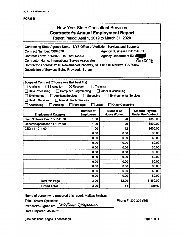## **New York State Consultant Services Contractor's Annual Employment Report**

**Report Period: April 1, 2019 to March 31, 2020**

| Contracting State Agency Name: NYS Office of Addiction Services and Supports<br><b>Agency Business Unit: OAS01</b><br><b>Contract Number: C004378</b><br>Contract Term: 1/1/2020 to 12/31/2023<br><b>Agency Department ID:</b><br>367000<br><b>Contractor Name: International Survey Associates</b><br>Contractor Address: 2140 Newamarket Parkway, SE Ste 116 Marietta, GA 30067<br>Description of Services Being Provided: Survey               |                                      |                                         |                                                    |
|---------------------------------------------------------------------------------------------------------------------------------------------------------------------------------------------------------------------------------------------------------------------------------------------------------------------------------------------------------------------------------------------------------------------------------------------------|--------------------------------------|-----------------------------------------|----------------------------------------------------|
| Scope of Contract (Choose one that best fits):<br>Evaluation<br>$\boxtimes$ Research<br>Training<br><b>Analysis</b><br>Computer Programming<br>Other IT consulting<br><b>Data Processing</b><br>$\Box$ Surveying<br><b>Environmental Services</b><br>Engineering<br><b>Architect Services</b><br><b>Health Services</b><br>Mental Health Services<br><b>Other Consulting</b><br><b>Accounting</b><br>Paralegal<br>$\Box$ Legal<br><b>Auditing</b> |                                      |                                         |                                                    |
| <b>Employment Category</b>                                                                                                                                                                                                                                                                                                                                                                                                                        | <b>Number of</b><br><b>Employees</b> | <b>Number of</b><br><b>Hours Worked</b> | <b>Amount Payable</b><br><b>Under the Contract</b> |
| Syst. Software Dev. 15-1141.00                                                                                                                                                                                                                                                                                                                                                                                                                    | 1.00                                 | 20                                      | \$350.00                                           |
| General/Operations 11-1021.00                                                                                                                                                                                                                                                                                                                                                                                                                     | 1.00                                 | 20                                      | \$500.00                                           |
| CEO 11-1011.00                                                                                                                                                                                                                                                                                                                                                                                                                                    | 1.00                                 | 12                                      | \$600.00                                           |
|                                                                                                                                                                                                                                                                                                                                                                                                                                                   | 0.00                                 | 0.00                                    | \$0.00                                             |
|                                                                                                                                                                                                                                                                                                                                                                                                                                                   | 0.00                                 | 0.00                                    | \$0.00                                             |
|                                                                                                                                                                                                                                                                                                                                                                                                                                                   | 0.00                                 | 0.00                                    | \$0.00                                             |
|                                                                                                                                                                                                                                                                                                                                                                                                                                                   | 0.00                                 | 0.00                                    | \$0.00                                             |
|                                                                                                                                                                                                                                                                                                                                                                                                                                                   | 0.00                                 | 0.00                                    | \$0.00                                             |
|                                                                                                                                                                                                                                                                                                                                                                                                                                                   | 0.00                                 | 0.00                                    | \$0.00                                             |
|                                                                                                                                                                                                                                                                                                                                                                                                                                                   | 0.00                                 | 0.00                                    | \$0.00                                             |
|                                                                                                                                                                                                                                                                                                                                                                                                                                                   | 0.00                                 | 0.00                                    | \$0.00                                             |
|                                                                                                                                                                                                                                                                                                                                                                                                                                                   | 0.00                                 | 0.00                                    | \$0.00                                             |
|                                                                                                                                                                                                                                                                                                                                                                                                                                                   | 0.00                                 | 0.00                                    | \$0.00                                             |
| <b>Total this Page</b>                                                                                                                                                                                                                                                                                                                                                                                                                            | 3.00                                 | 52.00                                   | \$850.00                                           |
| <b>Grand Total</b>                                                                                                                                                                                                                                                                                                                                                                                                                                | 3.00                                 | 52                                      | 850.00                                             |

**Name of person who prepared this report:** Melissa Stephens

Title: Director Operations **Preparer's Signature:** **Phone#:** 800-279-6361

**Date Prepared:** 4/28/2020

(Use additional pages, if necessary) example that the extra set of the Page 1 of 1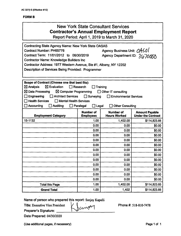## New York State Consultant Services **Contractor's Annual Employment Report**

Report Period: April 1,2019 to March 31, 2020

| <b>Contracting State Agency Name: New York State OASAS</b><br>Agency Business Unit: 0AS01<br><b>Contract Number: PH65776</b><br>Contract Term: 11/01/2012 to 06/30/2019<br>Agency Department ID: 3670000<br><b>Contractor Name: Knowledge Builders Inc</b><br>Contractor Address: 1977 Western Avenue, Ste #1, Albany, NY 12202<br>Description of Services Being Provided: Programmer   |                                                  |                                             |                           |
|-----------------------------------------------------------------------------------------------------------------------------------------------------------------------------------------------------------------------------------------------------------------------------------------------------------------------------------------------------------------------------------------|--------------------------------------------------|---------------------------------------------|---------------------------|
| Scope of Contract (Choose one that best fits):<br>$\boxtimes$ Analysis<br>$\boxtimes$ Evaluation<br>$\Box$ Research<br>Training<br>$\boxtimes$ Data Processing<br>$\boxtimes$ Computer Programming<br>□ Other IT consulting<br><b>Architect Services</b><br>Engineering<br>$\Box$ Surveying<br><b>Environmental Services</b><br><b>Health Services</b><br>$\Box$ Mental Health Services |                                                  |                                             |                           |
| Accounting<br>$\Box$ Auditing                                                                                                                                                                                                                                                                                                                                                           | Paralegal<br>$\square$ Legal<br><b>Number of</b> | <b>Other Consulting</b><br><b>Number of</b> | <b>Amount Payable</b>     |
| <b>Employment Category</b>                                                                                                                                                                                                                                                                                                                                                              | <b>Employees</b>                                 | <b>Hours Worked</b>                         | <b>Under the Contract</b> |
| 15-1132                                                                                                                                                                                                                                                                                                                                                                                 | 1.00                                             | 1,402.00                                    | \$114,823.85              |
|                                                                                                                                                                                                                                                                                                                                                                                         | 0.00                                             | 0.00                                        | \$0.00                    |
|                                                                                                                                                                                                                                                                                                                                                                                         | 0.00                                             | 0.00                                        | \$0.00                    |
|                                                                                                                                                                                                                                                                                                                                                                                         | 0.00                                             | 0.00                                        | \$0.00                    |
|                                                                                                                                                                                                                                                                                                                                                                                         | 0.00                                             | 0.00                                        | \$0.00                    |
|                                                                                                                                                                                                                                                                                                                                                                                         | 0.00                                             | 0.00                                        | \$0.00                    |
|                                                                                                                                                                                                                                                                                                                                                                                         | 0.00                                             | 0.00                                        | \$0.00                    |
|                                                                                                                                                                                                                                                                                                                                                                                         | 0.00                                             | 0.00                                        | \$0.00                    |
|                                                                                                                                                                                                                                                                                                                                                                                         | 0.00                                             | 0.00                                        | \$0.00                    |
|                                                                                                                                                                                                                                                                                                                                                                                         | 0.00                                             | 0.00                                        | \$0.00                    |
|                                                                                                                                                                                                                                                                                                                                                                                         | 0.00                                             | 0.00                                        | \$0.00                    |
|                                                                                                                                                                                                                                                                                                                                                                                         | 0.00                                             | 0.00                                        | \$0.00                    |
|                                                                                                                                                                                                                                                                                                                                                                                         | 0.00                                             | 0.00                                        | \$0.00                    |
| <b>Total this Page</b>                                                                                                                                                                                                                                                                                                                                                                  | 1.00                                             | 1,402.00                                    | \$114,823.85              |
| <b>Grand Total</b>                                                                                                                                                                                                                                                                                                                                                                      | 1.00                                             | 1,402                                       | \$114,823.85              |

Name of person who prepared this report: Sanjay Kapalli

Title: Executive Vice President

Preparer's Signature:

Date Prepared: 04/30/2020

(Use additional pages, if necessary) example the contract of the Page 1 of 1

Phone #: 518-810-7478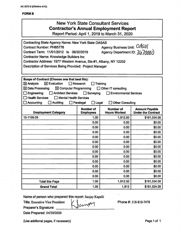## **FORMS**

# New York State Consultant Services **Contractor's Annual Employment Report**

**Report Period: April 1,2019 to March 31, 2020**

| <b>Contracting State Agency Name: New York State OASAS</b>                                       |                                      |                                         |                                                    |
|--------------------------------------------------------------------------------------------------|--------------------------------------|-----------------------------------------|----------------------------------------------------|
| Agency Business Unit: 0/450<br><b>Contract Number: PH65776</b>                                   |                                      |                                         |                                                    |
| Agency Department ID: $307000$<br>Contract Term: 11/01/2012 to 06/30/2019                        |                                      |                                         |                                                    |
| <b>Contractor Name: Knowledge Builders Inc.</b>                                                  |                                      |                                         |                                                    |
| Contractor Address: 1977 Western Avenue, Ste #1, Albany, NY 12202                                |                                      |                                         |                                                    |
| Description of Services Being Provided: Project Manager                                          |                                      |                                         |                                                    |
|                                                                                                  |                                      |                                         |                                                    |
|                                                                                                  |                                      |                                         |                                                    |
| Scope of Contract (Choose one that best fits):<br>$\boxtimes$ Evaluation<br>$\boxtimes$ Analysis | Research                             |                                         |                                                    |
|                                                                                                  |                                      | Training                                |                                                    |
| $\boxtimes$ Data Processing<br>$\boxtimes$ Computer Programming                                  |                                      | □ Other IT consulting                   |                                                    |
| Engineering<br><b>Architect Services</b>                                                         | $\Box$ Surveying                     | <b>Environmental Services</b>           |                                                    |
| <b>Health Services</b><br>$\Box$ Mental Health Services                                          |                                      |                                         |                                                    |
| Accounting<br><b>Auditing</b>                                                                    | Paralegal<br>$\Box$ Legal            | <b>Other Consulting</b>                 |                                                    |
| <b>Employment Category</b>                                                                       | <b>Number of</b><br><b>Employees</b> | <b>Number of</b><br><b>Hours Worked</b> | <b>Amount Payable</b><br><b>Under the Contract</b> |
| 15-1199.09                                                                                       | 1.00                                 | 1,912.50                                | \$181,534.58                                       |
|                                                                                                  | 0.00                                 | 0.00                                    | \$0.00                                             |
|                                                                                                  | 0.00                                 | 0.00                                    | \$0.00                                             |
|                                                                                                  | 0.00                                 | 0.00                                    | \$0.00                                             |
|                                                                                                  | 0.00                                 | 0.00                                    | \$0.00                                             |
|                                                                                                  | 0.00                                 | 0.00                                    | \$0.00                                             |
|                                                                                                  | 0.00                                 | 0.00                                    | \$0.00                                             |
|                                                                                                  | 0.00                                 | 0.00                                    | \$0.00                                             |
|                                                                                                  | 0.00                                 | 0.00                                    | \$0.00                                             |
|                                                                                                  | 0.00                                 | 0.00                                    | \$0.00                                             |
|                                                                                                  | 0.00                                 | 0.00                                    | \$0.00                                             |
|                                                                                                  | 0.00                                 | 0.00                                    | \$0.00                                             |
|                                                                                                  | 0.00                                 | 0.00                                    | \$0.00                                             |
| <b>Total this Page</b>                                                                           | 1.00                                 | 1,912.50                                | \$181,534.58                                       |
| <b>Grand Total</b>                                                                               | 1.00                                 | 1,912                                   | \$181,534.58                                       |

Name of person who prepared this report: Sanjay Kapalli

Title: Executive Vice President

Preparer's Signature:

Date Prepared: 04/30/2020

(Use additional pages, if necessary) example the contract of the Page 1 of 1

 $\int$  Phone #: 518-810-7478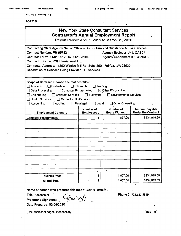**AC 3272-S (Effective 4/12)**

#### **FORMS**

## New York State Consultant Services **Contractor's Annual Employment Report**

Report Period; April 1, 2019 to March 31, 2020

**Contracting State Agency Name: Office of Aicoholism and Substance Abuse Services Contract Number; PH 65782 Contract Term: 11/01/2012 to 06/30/2019 Contractor Name; PSI International Inc. Contractor Address: 11200 Waples Mill Rd, Suite 200 Fairfax, ,VA 22030 Description of Services Being Provided: IT Services Agency Business Unit:.OAS01 Agency Department iD: 3670000**

| Scope of Contract (Choose one that best fits):               |                                                           |                                         |                                                    |  |  |
|--------------------------------------------------------------|-----------------------------------------------------------|-----------------------------------------|----------------------------------------------------|--|--|
| $\Box$ Evaluation<br>$\Box$ Research<br>Analysis<br>Training |                                                           |                                         |                                                    |  |  |
| Data Processing                                              | □ Computer Programming<br>$\boxtimes$ Other IT consulting |                                         |                                                    |  |  |
| Engineering<br><b>Architect Services</b>                     | Surveying                                                 | <b>Environmental Services</b>           |                                                    |  |  |
| Health Services<br>$\Box$ Mental Health Services             |                                                           |                                         |                                                    |  |  |
| Accounting<br>Auditing                                       | Paralegal<br>$\Box$ Legal                                 | <b>Other Consulting</b>                 |                                                    |  |  |
| <b>Employment Category</b>                                   | <b>Number of</b><br><b>Employees</b>                      | <b>Number of</b><br><b>Hours Worked</b> | <b>Amount Payable</b><br><b>Under the Contract</b> |  |  |
| <b>Computer Programmers</b>                                  | 1                                                         | 1,857.00                                | \$134,019.69                                       |  |  |
|                                                              |                                                           |                                         |                                                    |  |  |
|                                                              |                                                           |                                         |                                                    |  |  |
| ٠                                                            |                                                           |                                         |                                                    |  |  |
| $\bullet$                                                    |                                                           |                                         |                                                    |  |  |
|                                                              |                                                           |                                         |                                                    |  |  |
| ٠                                                            |                                                           |                                         |                                                    |  |  |
|                                                              |                                                           |                                         |                                                    |  |  |
|                                                              |                                                           |                                         |                                                    |  |  |
|                                                              |                                                           |                                         |                                                    |  |  |
|                                                              |                                                           |                                         |                                                    |  |  |
|                                                              |                                                           |                                         |                                                    |  |  |
|                                                              | ٠                                                         |                                         |                                                    |  |  |
| Total this Page                                              | 1                                                         | 1,857.00                                | \$134,019.69                                       |  |  |
| <b>Grand Total</b>                                           | 1                                                         | 1,857.00                                | \$134,019.69                                       |  |  |

**Name of person who prepared this report:** Jasmin Bertulfo .

Bertril

**Title:** Accountant

**Phone#:** 703.621.5849

**Preparer's Signature:**

**Date Prepared: 05/08/2020**

(Use additional pages, if necessary) example the state of the Page 1 of 1